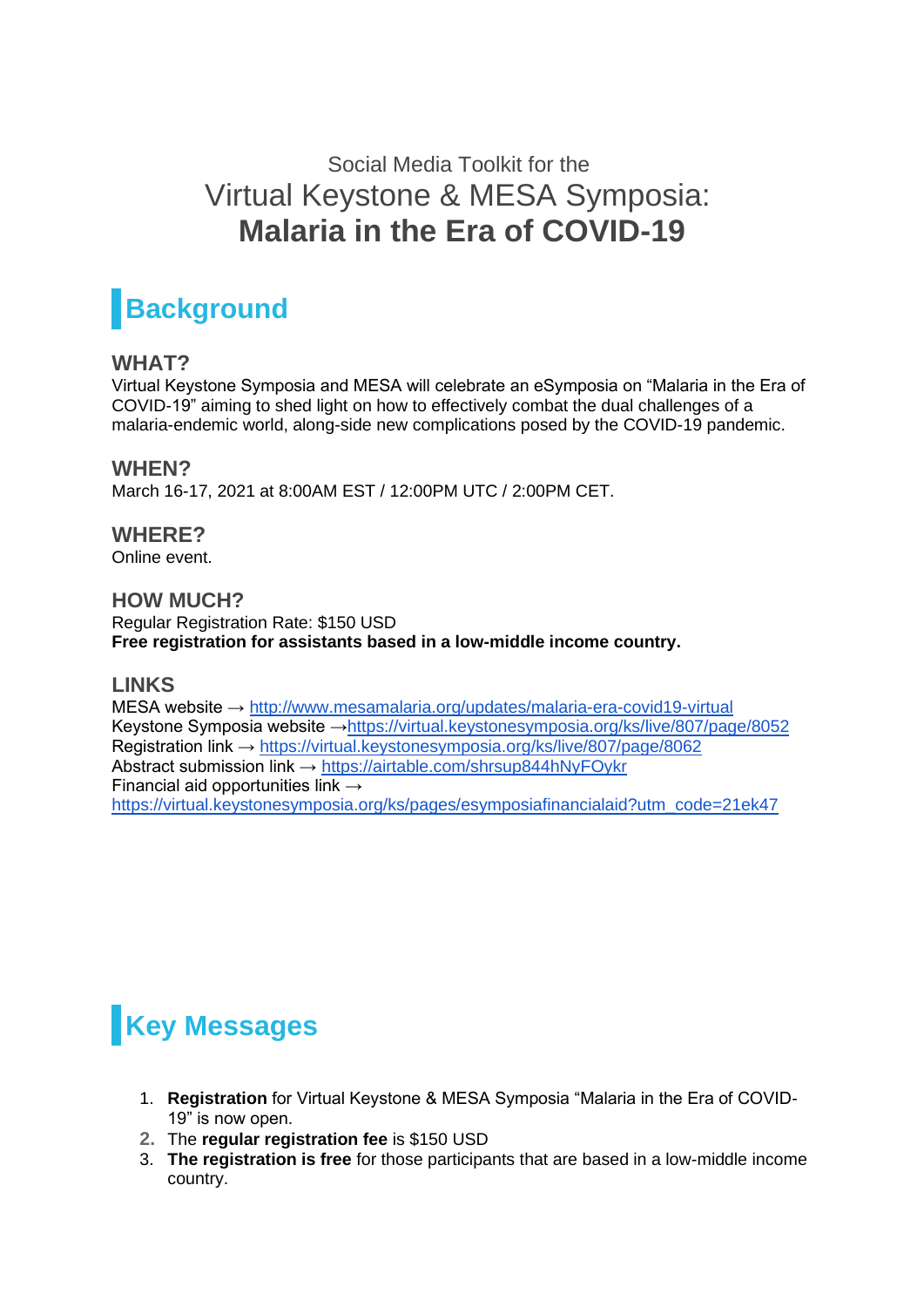## Social Media Toolkit for the Virtual Keystone & MESA Symposia: **Malaria in the Era of COVID-19**

# **Background**

#### **WHAT?**

Virtual Keystone Symposia and MESA will celebrate an eSymposia on "Malaria in the Era of COVID-19" aiming to shed light on how to effectively combat the dual challenges of a malaria-endemic world, along-side new complications posed by the COVID-19 pandemic.

#### **WHEN?**

March 16-17, 2021 at 8:00AM EST / 12:00PM UTC / 2:00PM CET.

### **WHERE?**

Online event.

#### **HOW MUCH?**

Regular Registration Rate: \$150 USD **Free registration for assistants based in a low-middle income country.**

#### **LINKS**

MESA website →<http://www.mesamalaria.org/updates/malaria-era-covid19-virtual> Keystone Symposia website [→https://virtual.keystonesymposia.org/ks/live/807/page/8052](https://virtual.keystonesymposia.org/ks/live/807/page/8052) Registration link →<https://virtual.keystonesymposia.org/ks/live/807/page/8062> Abstract submission link →<https://airtable.com/shrsup844hNyFOykr> Financial aid opportunities link  $\rightarrow$ [https://virtual.keystonesymposia.org/ks/pages/esymposiafinancialaid?utm\\_code=21ek47](https://virtual.keystonesymposia.org/ks/pages/esymposiafinancialaid?utm_code=21ek47)

# **Key Messages**

- 1. **Registration** for Virtual Keystone & MESA Symposia "Malaria in the Era of COVID-19" is now open.
- **2.** The **regular registration fee** is \$150 USD
- 3. **The registration is free** for those participants that are based in a low-middle income country.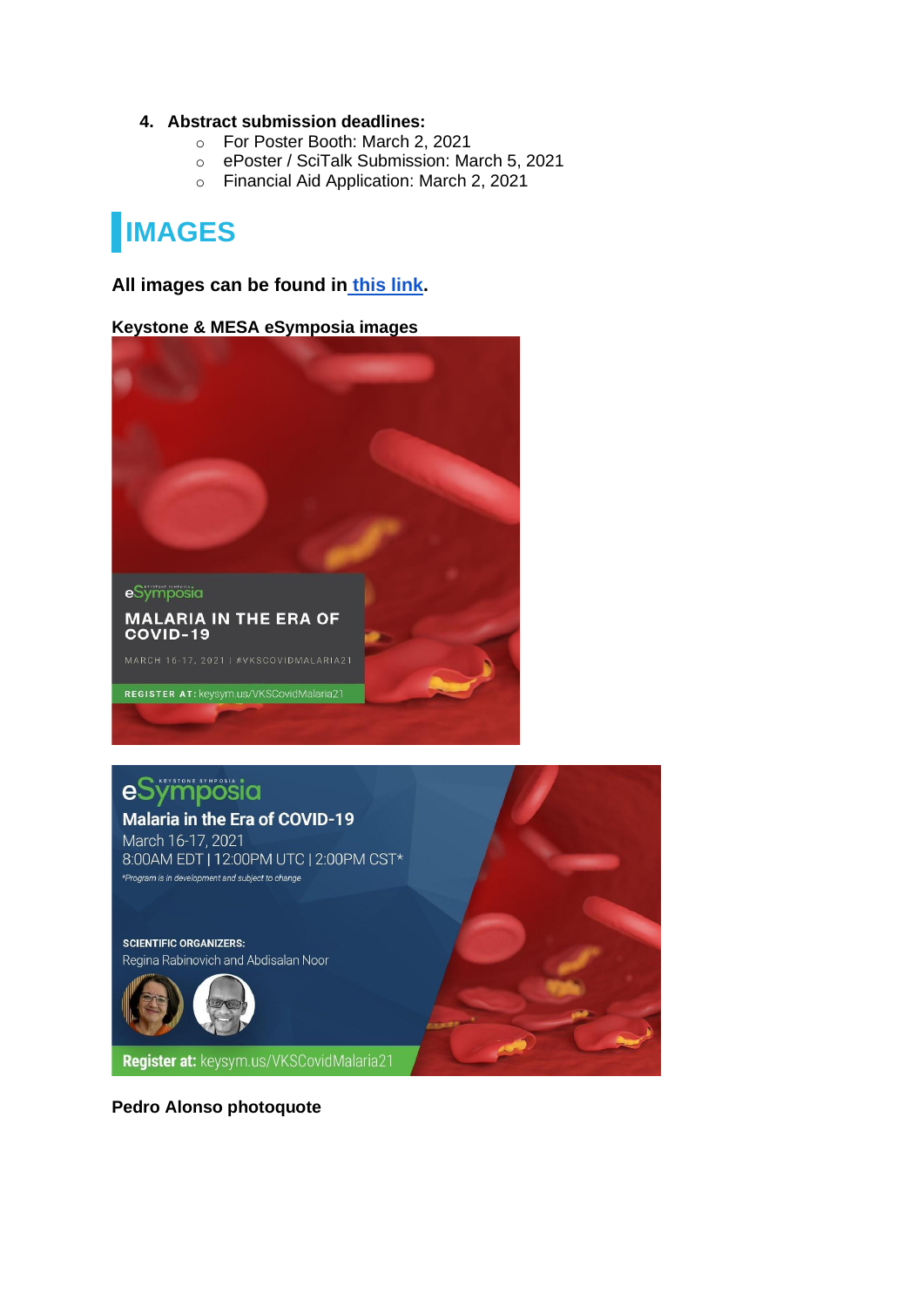#### **4. Abstract submission deadlines:**

- o For Poster Booth: March 2, 2021
- o ePoster / SciTalk Submission: March 5, 2021
- o Financial Aid Application: March 2, 2021

# **IMAGES**

#### **All images can be found in [this link.](https://drive.google.com/drive/folders/1Qu8udlKKH4zH7iv2fknkR06poRTR75rz?usp=sharing)**

**Keystone & MESA eSymposia images**



REGISTER AT: keysym.us/VKSCovidMalaria21

## eSÿmposia

#### **Malaria in the Era of COVID-19**

March 16-17, 2021 8:00AM EDT | 12:00PM UTC | 2:00PM CST\* \*Program is in development and subject to change

**SCIENTIFIC ORGANIZERS:** Regina Rabinovich and Abdisalan Noor



Register at: keysym.us/VKSCovidMalaria21

**Pedro Alonso photoquote**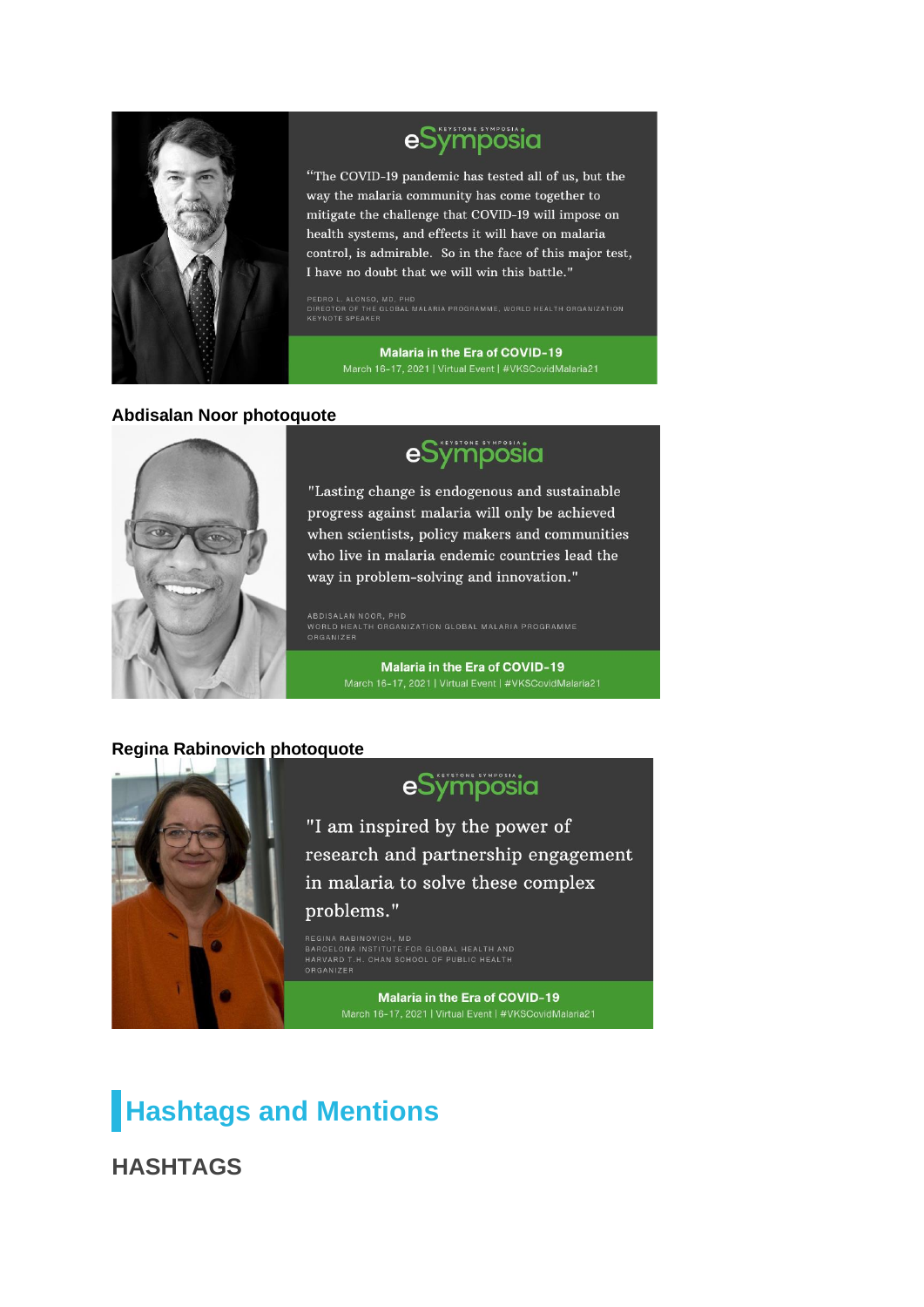

## eSymposia

"The COVID-19 pandemic has tested all of us, but the way the malaria community has come together to mitigate the challenge that COVID-19 will impose on health systems, and effects it will have on malaria control, is admirable. So in the face of this major test, I have no doubt that we will win this battle."

PEDRO L. ALONSO, MD, PHD<br>DIRECTOR OF THE GLOBAL MALARIA PROGRAMME, WORLD HEALTH ORGANIZATION<br>KEYNOTE SPEAKER

**Malaria in the Era of COVID-19** 

#### **Abdisalan Noor photoquote**



## eSympösia

"Lasting change is endogenous and sustainable progress against malaria will only be achieved when scientists, policy makers and communities who live in malaria endemic countries lead the way in problem-solving and innovation."

ABDISALAN NOOR, PHD ABDISALAN NOOR, PHD<br>WORLD HEALTH ORGANIZATION GLOBAL MALARIA PROGRAMME<br>ORGANIZER

Malaria in the Era of COVID-19

#### **Regina Rabinovich photoquote**



### eSymposia

"I am inspired by the power of research and partnership engagement in malaria to solve these complex problems."

BARCELONA INSTITUTE FOR GLOBAL HEALTH AND<br>HARVARD T.H. CHAN SCHOOL OF PUBLIC HEALTH

Malaria in the Era of COVID-19

## **Hashtags and Mentions**

**HASHTAGS**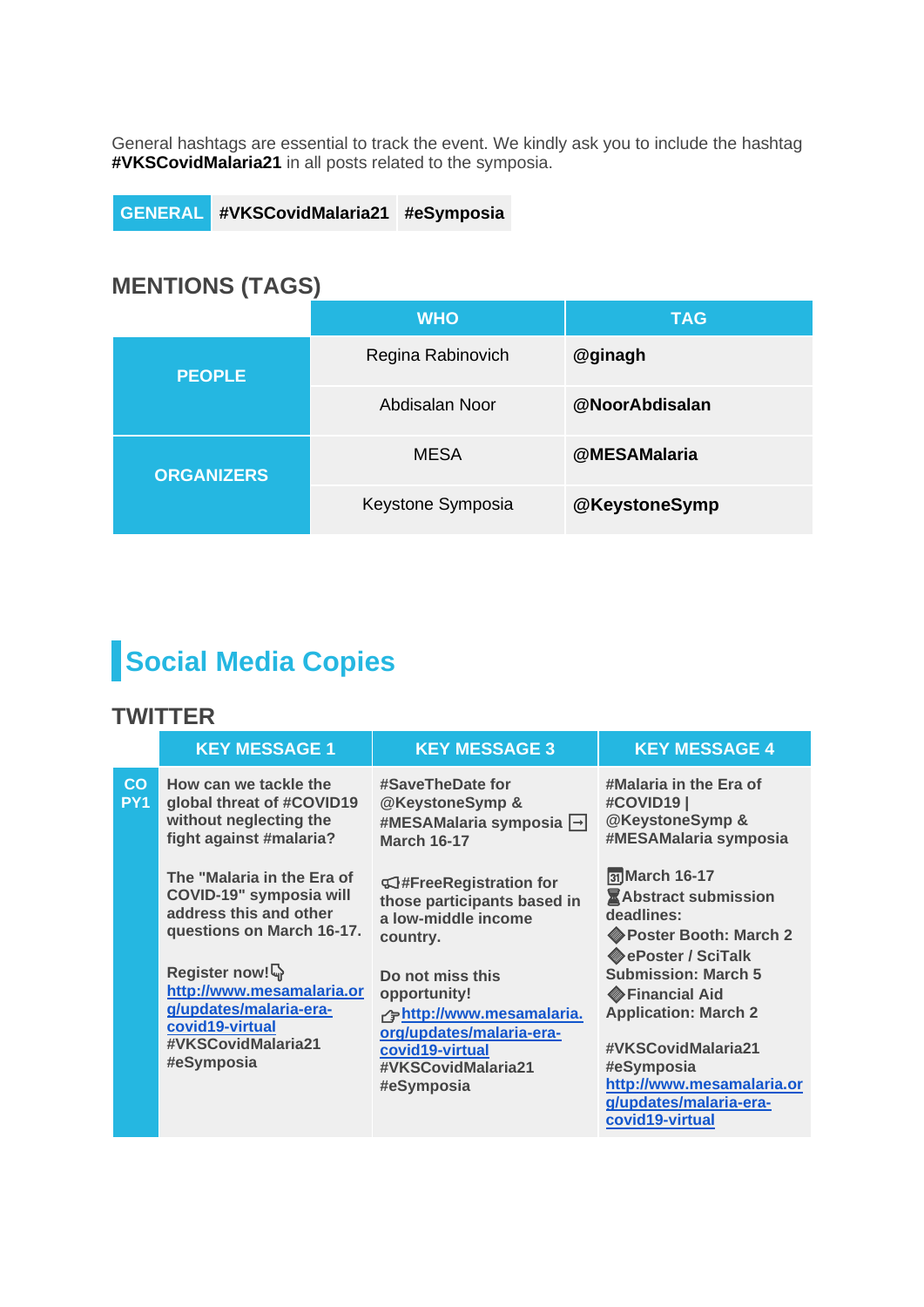General hashtags are essential to track the event. We kindly ask you to include the hashtag **#VKSCovidMalaria21** in all posts related to the symposia.

**GENERAL #VKSCovidMalaria21 #eSymposia**

### **MENTIONS (TAGS)**

|                   | <b>WHO</b>        | TAG            |
|-------------------|-------------------|----------------|
| <b>PEOPLE</b>     | Regina Rabinovich | @ginagh        |
|                   | Abdisalan Noor    | @NoorAbdisalan |
| <b>ORGANIZERS</b> | <b>MESA</b>       | @MESAMalaria   |
|                   | Keystone Symposia | @KeystoneSymp  |

# **Social Media Copies**

#### **TWITTER**

|                       | <b>KEY MESSAGE 1</b>                                                                                                        | <b>KEY MESSAGE 3</b>                                                                                                                | <b>KEY MESSAGE 4</b>                                                                                                                                                                     |
|-----------------------|-----------------------------------------------------------------------------------------------------------------------------|-------------------------------------------------------------------------------------------------------------------------------------|------------------------------------------------------------------------------------------------------------------------------------------------------------------------------------------|
| CO<br>PY <sub>1</sub> | How can we tackle the<br>global threat of #COVID19<br>without neglecting the<br>fight against #malaria?                     | #SaveTheDate for<br>@KeystoneSymp &<br>#MESAMalaria symposia →<br><b>March 16-17</b>                                                | #Malaria in the Era of<br>#COVID19<br>@KeystoneSymp &<br>#MESAMalaria symposia                                                                                                           |
|                       | The "Malaria in the Era of<br>COVID-19" symposia will<br>address this and other<br>questions on March 16-17.                | <b> S</b> #FreeRegistration for<br>those participants based in<br>a low-middle income<br>country.                                   | 31 March 16-17<br><b>Abstract submission</b><br>deadlines:<br>Poster Booth: March 2<br><b>Converted SciTalk</b>                                                                          |
|                       | Register now!<br>http://www.mesamalaria.or<br>g/updates/malaria-era-<br>covid19-virtual<br>#VKSCovidMalaria21<br>#eSymposia | Do not miss this<br>opportunity!<br>resamalaria.<br>org/updates/malaria-era-<br>covid19-virtual<br>#VKSCovidMalaria21<br>#eSymposia | <b>Submission: March 5</b><br>Financial Aid<br><b>Application: March 2</b><br>#VKSCovidMalaria21<br>#eSymposia<br>http://www.mesamalaria.or<br>g/updates/malaria-era-<br>covid19-virtual |